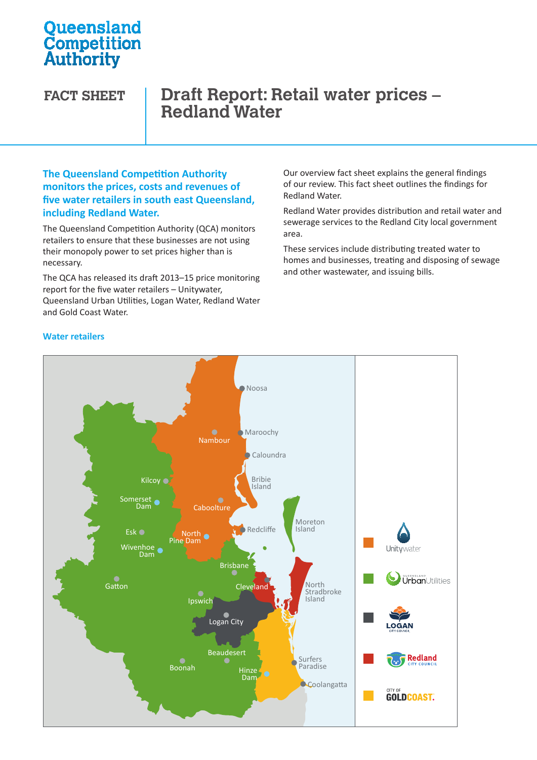# **Oueensland Competition**<br>Authority

## **FACT SHEET Draft Report: Retail water prices – Redland Water**

#### **The Queensland Competition Authority monitors the prices, costs and revenues of five water retailers in south east Queensland, including Redland Water.**

The Queensland Competition Authority (QCA) monitors retailers to ensure that these businesses are not using their monopoly power to set prices higher than is necessary.

The QCA has released its draft 2013–15 price monitoring report for the five water retailers – Unitywater, Queensland Urban Utilities, Logan Water, Redland Water Urban Utilities Water Water and Gold Coast Water.

Our overview fact sheet explains the general findings of our review. This fact sheet outlines the findings for Redland Water.

Redland Water provides distribution and retail water and sewerage services to the Redland City local government area.

These services include distributing treated water to homes and businesses, treating and disposing of sewage and other wastewater, and issuing bills.



#### **Water retailers**